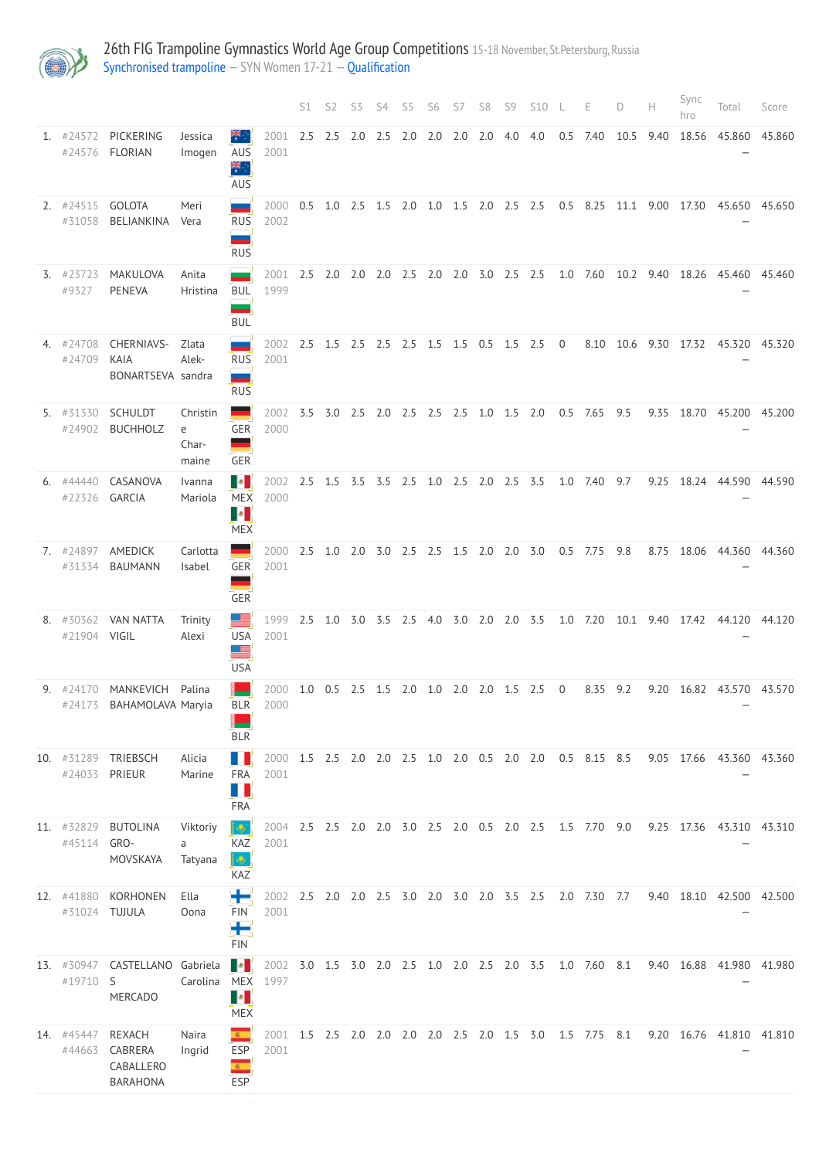

26th FIG Trampoline Gymnastics World Age Group Competitions 15-18 November, St.Petersburg, Russia [Synchronised trampoline](http://192.168.1.10:9001/event/SYN) - SYN Women 17-21 - [Qualification](http://192.168.1.10:9001/stages/70)

|                             |                                                 |                                 |                                                              |                                                                   | S1  | S <sub>2</sub> | S3              | S4        | S5                                      | S6          | S7 | S8          | S9 | S10                                 | -L             | Е                                                         | D    | Н    | Sync<br>hro              | Total                         | Score  |
|-----------------------------|-------------------------------------------------|---------------------------------|--------------------------------------------------------------|-------------------------------------------------------------------|-----|----------------|-----------------|-----------|-----------------------------------------|-------------|----|-------------|----|-------------------------------------|----------------|-----------------------------------------------------------|------|------|--------------------------|-------------------------------|--------|
| 1. $\#24572$                | PICKERING<br>#24576 FLORIAN                     | Jessica<br>Imogen               | я.,<br>AUS<br>₩.,<br>AUS                                     | 2001<br>2001                                                      | 2.5 | 2.5            | 2.0             | $2.5$ 2.0 |                                         | $2.0$ $2.0$ |    | 2.0 4.0 4.0 |    |                                     | 0.5            | 7.40                                                      | 10.5 | 9.40 | 18.56                    | 45.860                        | 45.860 |
| 2. $\#24515$<br>#31058      | <b>GOLOTA</b><br>BELIANKINA                     | Meri<br>Vera                    | سند<br><b>RUS</b><br>--<br><b>RUS</b>                        | 2000<br>2002                                                      | 0.5 |                |                 |           |                                         |             |    |             |    | 1.0 2.5 1.5 2.0 1.0 1.5 2.0 2.5 2.5 |                |                                                           |      |      | 0.5 8.25 11.1 9.00 17.30 | 45.650 45.650                 |        |
| $3.$ #23723<br>#9327        | MAKULOVA<br><b>PENEVA</b>                       | Anita<br>Hristina               | BUL<br><b>BUL</b>                                            | 2001<br>1999                                                      | 2.5 |                | $2.0\quad 2.0$  |           | 2.0 2.5 2.0 2.0 3.0 2.5 2.5             |             |    |             |    |                                     |                | 1.0 7.60                                                  |      |      |                          | 10.2 9.40 18.26 45.460 45.460 |        |
| 4. #24708<br>#24709         | <b>CHERNIAVS-</b><br>KAIA<br>BONARTSEVA sandra  | Zlata<br>Alek-                  | <b>RUS</b><br>--<br><b>RUS</b>                               | 2002<br>2001                                                      | 2.5 |                |                 |           | 1.5 2.5 2.5 2.5 1.5 1.5                 |             |    | $0.5$ 1.5   |    | 2.5                                 | $\overline{0}$ | 8.10                                                      | 10.6 | 9.30 | 17.32                    | 45.320 45.320                 |        |
| 5. #31330<br>#24902         | <b>SCHULDT</b><br><b>BUCHHOLZ</b>               | Christin<br>e<br>Char-<br>maine | GER<br>-<br>GER                                              | 2002<br>2000                                                      | 3.5 |                |                 |           | 3.0 2.5 2.0 2.5 2.5 2.5 1.0 1.5 2.0     |             |    |             |    |                                     |                | $0.5$ 7.65                                                | 9.5  | 9.35 | 18.70                    | 45.200 45.200                 |        |
| 6. #44440<br>#22326         | CASANOVA<br>GARCIA                              | Ivanna<br>Mariola               | H.<br><b>MEX</b><br>$\bullet$<br><b>MEX</b>                  | 2002<br>2000                                                      |     |                |                 |           | 2.5 1.5 3.5 3.5 2.5 1.0 2.5 2.0 2.5 3.5 |             |    |             |    |                                     |                | 1.0 7.40                                                  | 9.7  | 9.25 | 18.24                    | 44.590 44.590                 |        |
| 7. #24897<br>#31334         | AMEDICK<br><b>BAUMANN</b>                       | Carlotta<br>Isabel              | GER<br>GER                                                   | 2000<br>2001                                                      | 2.5 |                | $1.0$ $2.0$     |           | 3.0 2.5 2.5 1.5 2.0 2.0 3.0             |             |    |             |    |                                     |                | $0.5$ 7.75                                                | 9.8  | 8.75 | 18.06                    | 44.360 44.360                 |        |
| 8. #30362<br>#21904 VIGIL   | <b>VAN NATTA</b>                                | Trinity<br>Alexi                | <b>FILE</b><br><b>USA</b><br>- 2<br><b>USA</b>               | 1999<br>2001                                                      | 2.5 |                | $1.0 \quad 3.0$ |           | 3.5 2.5 4.0 3.0 2.0 2.0 3.5             |             |    |             |    |                                     |                | 1.0 7.20                                                  |      |      | 10.1 9.40 17.42          | 44.120 44.120                 |        |
|                             | 9. #24170 MANKEVICH<br>#24173 BAHAMOLAVA Maryia | Palina                          | BLR<br><b>BLR</b>                                            | 2000 1.0 0.5 2.5 1.5 2.0 1.0 2.0 2.0 1.5 2.5<br>2000              |     |                |                 |           |                                         |             |    |             |    |                                     | $\overline{0}$ | 8.35 9.2                                                  |      |      |                          | 9.20 16.82 43.570 43.570      |        |
| #24033                      | 10. #31289 TRIEBSCH<br>PRIEUR                   | Alicia<br>Marine                | п<br>FRA<br>u<br><b>FRA</b>                                  | 2001                                                              |     |                |                 |           |                                         |             |    |             |    |                                     |                | 2000 1.5 2.5 2.0 2.0 2.5 1.0 2.0 0.5 2.0 2.0 0.5 8.15 8.5 |      |      |                          | 9.05 17.66 43.360 43.360      |        |
| 11. #32829<br>#45114 GRO-   | <b>BUTOLINA</b><br>MOVSKAYA                     | Viktoriy<br>a<br>Tatyana        | $\bullet$<br>KAZ<br>$\bullet$<br>KAZ                         | 2001                                                              |     |                |                 |           |                                         |             |    |             |    |                                     |                | 2004 2.5 2.5 2.0 2.0 3.0 2.5 2.0 0.5 2.0 2.5 1.5 7.70 9.0 |      |      |                          | 9.25 17.36 43.310 43.310      |        |
| 12. #41880<br>#31024 TUJULA | KORHONEN                                        | Ella<br>Oona                    | FIN<br>Н<br><b>FIN</b>                                       | 2001                                                              |     |                |                 |           |                                         |             |    |             |    |                                     |                | 2002 2.5 2.0 2.0 2.5 3.0 2.0 3.0 2.0 3.5 2.5 2.0 7.30 7.7 |      |      |                          | 9.40 18.10 42.500 42.500      |        |
| 13. #30947<br>#19710 S      | CASTELLANO Gabriela<br><b>MERCADO</b>           | Carolina                        | H.<br><b>MEX</b><br>u.<br><b>MEX</b>                         | 2002 3.0 1.5 3.0 2.0 2.5 1.0 2.0 2.5 2.0 3.5 1.0 7.60 8.1<br>1997 |     |                |                 |           |                                         |             |    |             |    |                                     |                |                                                           |      |      |                          | 9.40 16.88 41.980 41.980      |        |
| 14. #45447<br>#44663        | REXACH<br>CABRERA<br>CABALLERO<br>BARAHONA      | Naira<br>Ingrid                 | $\mathbf{c}$<br><b>ESP</b><br>$\overline{\mathbf{c}}$<br>ESP | 2001                                                              |     |                |                 |           |                                         |             |    |             |    |                                     |                | 2001 1.5 2.5 2.0 2.0 2.0 2.0 2.5 2.0 1.5 3.0 1.5 7.75 8.1 |      |      |                          | 9.20 16.76 41.810 41.810      |        |
|                             |                                                 |                                 |                                                              |                                                                   |     |                |                 |           |                                         |             |    |             |    |                                     |                |                                                           |      |      |                          |                               |        |